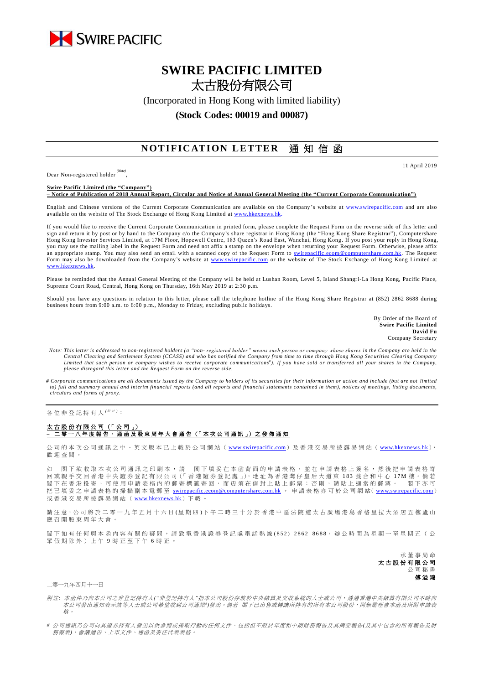

## **SWIRE PACIFIC LIMITED** 太古股份有限公司

(Incorporated in Hong Kong with limited liability)

## **(Stock Codes: 00019 and 00087)**

## **NOTIFICATION LETTER** 通知信函

Dear Non-registered holder *(Note)* , 11 April 2019

**Swire Pacific Limited (the "Company") – Notice of Publication of 2018 Annual Report, Circular and Notice of Annual General Meeting (the "Current Corporate Communication")**

English and Chinese versions of the Current Corporate Communication are available on the Company's website at [www.swirepacific.com](http://www.swirepacific.com/) and are also available on the website of The Stock Exchange of Hong Kong Limited at www.hkexnew

If you would like to receive the Current Corporate Communication in printed form, please complete the Request Form on the reverse side of this letter and sign and return it by post or by hand to the Company c/o the Company's share registrar in Hong Kong (the "Hong Kong Share Registrar"), Computershare Hong Kong Investor Services Limited, at 17M Floor, Hopewell Centre, 183 Queen's Road East, Wanchai, Hong Kong. If you post your reply in Hong Kong, you may use the mailing label in the Request Form and need not affix a stamp on the envelope when returning your Request Form. Otherwise, please affix an appropriate stamp. You may also send an email with a scanned copy of the Request Form to [swirepacific.ecom@computershare.com.hk.](mailto:swirepacific.ecom@computershare.com.hk) The Request Form may also be downloaded from the Company's website at [www.swirepacific.com](http://www.swirepacific.com/) or the website of The Stock Exchange of Hong Kong Limited at [www.hkexnews.hk.](http://www.hkexnews.hk/)

Please be reminded that the Annual General Meeting of the Company will be held at Lushan Room, Level 5, Island Shangri-La Hong Kong, Pacific Place, Supreme Court Road, Central, Hong Kong on Thursday, 16th May 2019 at 2:30 p.m.

Should you have any questions in relation to this letter, please call the telephone hotline of the Hong Kong Share Registrar at (852) 2862 8688 during business hours from 9:00 a.m. to 6:00 p.m., Monday to Friday, excluding public holidays.

> By Order of the Board of **Swire Pacific Limited David Fu** Company Secretary

- *Note: This letter is addressed to non-registered holders (a "non- registered holder" means such person or company whose shares in the Company are held in the*  Central Clearing and Settlement System (CCASS) and who has notified the Company from time to time through Hong Kong Securities Clearing Company<br>Limited that such person or company wishes to receive corporate communications *please disregard this letter and the Request Form on the reverse side.*
- *# Corporate communications are all documents issued by the Company to holders of its securities for their information or action and include (but are not limited to) full and summary annual and interim financial reports (and all reports and financial statements contained in them), notices of meetings, listing documents, circulars and forms of proxy.*

各位非登記持有人<sup>( ##)</sup>:

## 太古股份有限公司 (「公司」) **–** 二零一 八 年度報告 、通函 及 股 東 周 年 大 會 通 告 (「 本 次 公 司 通 訊 」) 之 發 佈 通 知

公司的本次公司通訊之中、英文版本已上載於公司網站 ([www.swirepacific.com](http://www.swirepacific.com/)) 及香港交易所披露易網站 ([www.hkexnews.hk](http://www.hkexnews.hk/)), 歡 迎 查閱。

如 閣下欲收取本次公司通訊之印刷本,請 閣下填妥在本函背面的申請表格,並在申請表格上簽名,然後把申請表格寄 回 或親手交回 香 港 中 央 證 券 登 記 有 限 公 司(「 香 港 證 券 登 記 處 」), 地 址 為 香 港 灣 仔 皇 后 大 道 東 1 8 3 號合和中心 1 7 M 樓 。 倘 若 閣下 在 香 港 投 寄 , 可 使 用 申 請 表 格 内 的 郵 寄 標 籤 寄 回 , 而 毋 須 在 信 封 上 貼 上 郵 票 ; 否 則 , 請 貼 上 適 當 的 郵 票 。 閣 下 亦 可 把已填妥之申請表格的掃描副本電郵至 [swirepacific.ecom@computershare.com.hk](mailto:swirepacific.ecom@computershare.com.hk) 。 申請表格亦可於公司網站( [www.swirepacific.com](http://www.swirepacific.com/)) 或香港交易所披露易網站 ( [www.hkexnews.hk](http://www.hkexnews.hk/)) 下載。

請注意,公司將於二零一九年五月十六日(星期四)下午二時三十分於香港中區法院道太古廣場港島香格里拉大酒店五樓廬山 廳 召 開 股 東 周 年大會 。

閣下如有任何與本函內容有關的疑問,請致電香港證券登記處電話熱線 (852) 2862 8688,辦公時間為星期一至星期五 ( 公 眾假期除外)上午 9 時正至下午 6 時正。

> 承董事 局 命 太古股份有限公司 公司秘書 傅溢鴻

二零一九年四月十一日

- 附註*:* 本函件乃向本公司之非登記持有人*("*非登記持有人*"*指本公司股份存放於中央結算及交收系統的人士或公司,透過香港中央結算有限公司不時向 本公司發出通知表示該等人士或公司希望收到公司通訊")發出。倘若 閣下已出售或轉讓所持有的所有本公司股份,則無需理會本函及所附申請表 格。
- *#* 公司通訊乃公司向其證券持有人發出以供參照或採取行動的任何文件,包括但不限於年度和中期財務報告及其摘要報告*(*及其中包含的所有報告及財 務報表*)*、會議通告、上市文件、通函及委任代表表格。